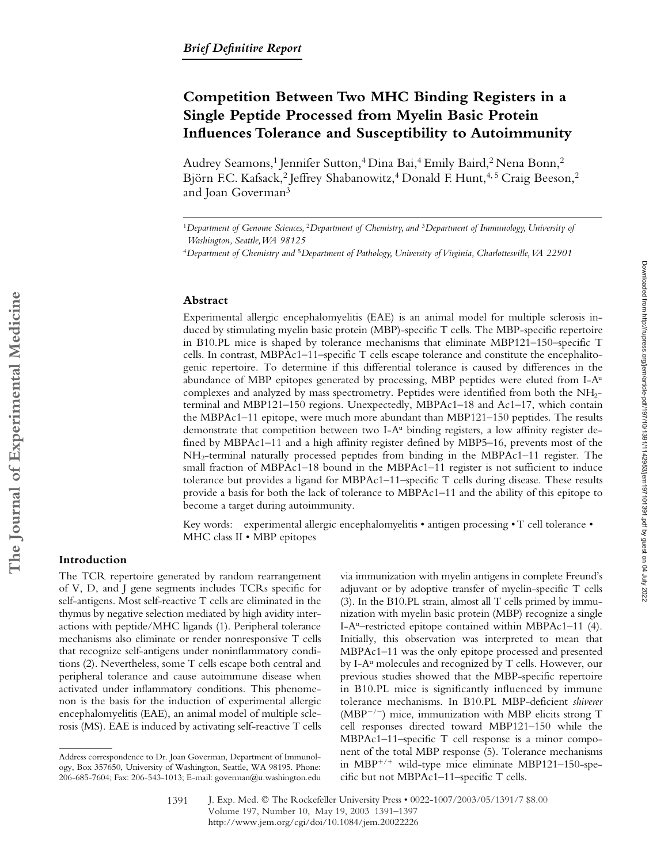# **Competition Between Two MHC Binding Registers in a Single Peptide Processed from Myelin Basic Protein Influences Tolerance and Susceptibility to Autoimmunity**

Audrey Seamons,<sup>1</sup> Jennifer Sutton,<sup>4</sup> Dina Bai,<sup>4</sup> Emily Baird,<sup>2</sup> Nena Bonn,<sup>2</sup> Björn F.C. Kafsack,<sup>2</sup> Jeffrey Shabanowitz,<sup>4</sup> Donald F. Hunt,<sup>4,5</sup> Craig Beeson,<sup>2</sup> and Joan Goverman3

#### **Abstract**

Experimental allergic encephalomyelitis (EAE) is an animal model for multiple sclerosis induced by stimulating myelin basic protein (MBP)-specific T cells. The MBP-specific repertoire in B10.PL mice is shaped by tolerance mechanisms that eliminate MBP121–150–specific T cells. In contrast, MBPAc1–11–specific T cells escape tolerance and constitute the encephalitogenic repertoire. To determine if this differential tolerance is caused by differences in the abundance of MBP epitopes generated by processing, MBP peptides were eluted from I-Au complexes and analyzed by mass spectrometry. Peptides were identified from both the NH2 terminal and MBP121–150 regions. Unexpectedly, MBPAc1–18 and Ac1–17, which contain the MBPAc1–11 epitope, were much more abundant than MBP121–150 peptides. The results demonstrate that competition between two I-A<sup>u</sup> binding registers, a low affinity register defined by MBPAc1–11 and a high affinity register defined by MBP5–16, prevents most of the NH2-terminal naturally processed peptides from binding in the MBPAc1–11 register. The small fraction of MBPAc1–18 bound in the MBPAc1–11 register is not sufficient to induce tolerance but provides a ligand for MBPAc1–11–specific T cells during disease. These results provide a basis for both the lack of tolerance to MBPAc1–11 and the ability of this epitope to become a target during autoimmunity.

Key words: experimental allergic encephalomyelitis • antigen processing • T cell tolerance • MHC class II • MBP epitopes

## **Introduction**

The TCR repertoire generated by random rearrangement of V, D, and J gene segments includes TCRs specific for self-antigens. Most self-reactive T cells are eliminated in the thymus by negative selection mediated by high avidity interactions with peptide/MHC ligands (1). Peripheral tolerance mechanisms also eliminate or render nonresponsive T cells that recognize self-antigens under noninflammatory conditions (2). Nevertheless, some T cells escape both central and peripheral tolerance and cause autoimmune disease when activated under inflammatory conditions. This phenomenon is the basis for the induction of experimental allergic encephalomyelitis (EAE), an animal model of multiple sclerosis (MS). EAE is induced by activating self-reactive T cells

via immunization with myelin antigens in complete Freund's adjuvant or by adoptive transfer of myelin-specific T cells (3). In the B10.PL strain, almost all T cells primed by immunization with myelin basic protein (MBP) recognize a single I-A<sup>u</sup>–restricted epitope contained within MBPAc1–11  $(4)$ . Initially, this observation was interpreted to mean that MBPAc1–11 was the only epitope processed and presented by I-A<sup>u</sup> molecules and recognized by T cells. However, our previous studies showed that the MBP-specific repertoire in B10.PL mice is significantly influenced by immune tolerance mechanisms. In B10.PL MBP-deficient *shiverer* (MBP $^{-/-}$ ) mice, immunization with MBP elicits strong T cell responses directed toward MBP121–150 while the MBPAc1–11–specific T cell response is a minor component of the total MBP response (5). Tolerance mechanisms in MBP<sup>+/+</sup> wild-type mice eliminate MBP121-150-specific but not MBPAc1–11–specific T cells.

Downloaded from http://rupress.org/jenr/article-pdf/197/10/1391/1142953/jem197101391.pdf by guest on 04 July 2022 Downloaded from http://rupress.org/jem/article-pdf/197/10/1391/1142953/jem197101391.pdf by guest on 04 July 2022

<sup>1</sup>*Department of Genome Sciences,* <sup>2</sup>*Department of Chemistry, and* <sup>3</sup>*Department of Immunology, University of Washington, Seattle, WA 98125*

<sup>4</sup>*Department of Chemistry and* <sup>5</sup>*Department of Pathology, University of Virginia, Charlottesville, VA 22901*

Address correspondence to Dr. Joan Goverman, Department of Immunology, Box 357650, University of Washington, Seattle, WA 98195. Phone: 206-685-7604; Fax: 206-543-1013; E-mail: goverman@u.washington.edu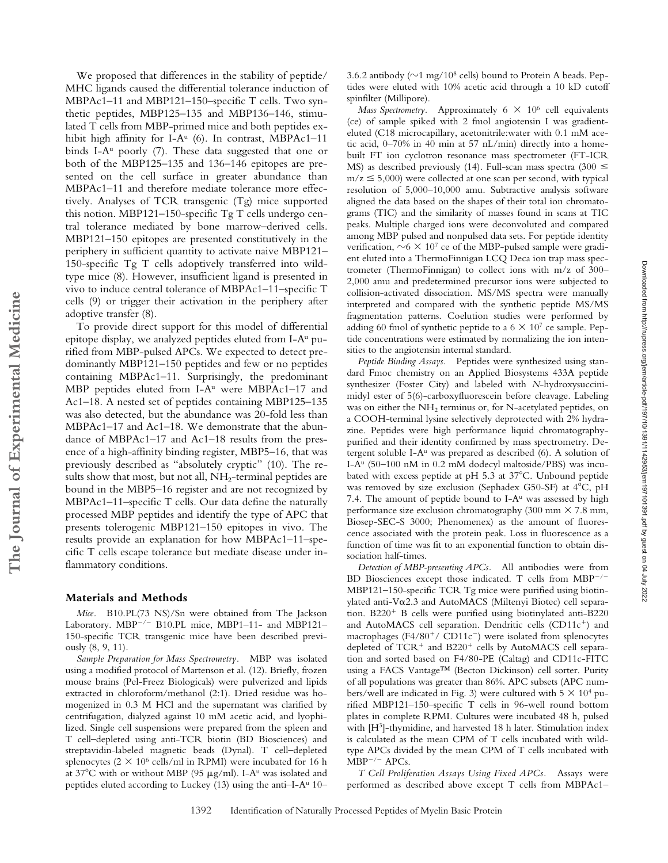We proposed that differences in the stability of peptide/ MHC ligands caused the differential tolerance induction of MBPAc1–11 and MBP121–150–specific T cells. Two synthetic peptides, MBP125–135 and MBP136–146, stimulated T cells from MBP-primed mice and both peptides exhibit high affinity for I-A<sup>u</sup> (6). In contrast, MBPAc1-11 binds I-A<sup>u</sup> poorly (7). These data suggested that one or both of the MBP125–135 and 136–146 epitopes are presented on the cell surface in greater abundance than MBPAc1–11 and therefore mediate tolerance more effectively. Analyses of TCR transgenic (Tg) mice supported this notion. MBP121–150-specific Tg T cells undergo central tolerance mediated by bone marrow–derived cells. MBP121–150 epitopes are presented constitutively in the periphery in sufficient quantity to activate naive MBP121– 150-specific Tg T cells adoptively transferred into wildtype mice (8). However, insufficient ligand is presented in vivo to induce central tolerance of MBPAc1–11–specific T cells (9) or trigger their activation in the periphery after adoptive transfer (8).

To provide direct support for this model of differential epitope display, we analyzed peptides eluted from  $I-A^u$  purified from MBP-pulsed APCs. We expected to detect predominantly MBP121–150 peptides and few or no peptides containing MBPAc1–11. Surprisingly, the predominant MBP peptides eluted from  $I-A^u$  were MBPAc1-17 and Ac1–18. A nested set of peptides containing MBP125–135 was also detected, but the abundance was 20-fold less than MBPAc1–17 and Ac1–18. We demonstrate that the abundance of MBPAc1–17 and Ac1–18 results from the presence of a high-affinity binding register, MBP5–16, that was previously described as "absolutely cryptic" (10). The results show that most, but not all,  $NH_2$ -terminal peptides are bound in the MBP5–16 register and are not recognized by MBPAc1–11–specific T cells. Our data define the naturally processed MBP peptides and identify the type of APC that presents tolerogenic MBP121–150 epitopes in vivo. The results provide an explanation for how MBPAc1–11–specific T cells escape tolerance but mediate disease under inflammatory conditions.

### **Materials and Methods**

*Mice.* B10.PL(73 NS)/Sn were obtained from The Jackson Laboratory. MBP<sup>-/-</sup> B10.PL mice, MBP1-11- and MBP121-150-specific TCR transgenic mice have been described previously (8, 9, 11).

*Sample Preparation for Mass Spectrometry.* MBP was isolated using a modified protocol of Martenson et al. (12). Briefly, frozen mouse brains (Pel-Freez Biologicals) were pulverized and lipids extracted in chloroform/methanol (2:1). Dried residue was homogenized in 0.3 M HCl and the supernatant was clarified by centrifugation, dialyzed against 10 mM acetic acid, and lyophilized. Single cell suspensions were prepared from the spleen and T cell–depleted using anti-TCR biotin (BD Biosciences) and streptavidin-labeled magnetic beads (Dynal). T cell–depleted splenocytes ( $2 \times 10^6$  cells/ml in RPMI) were incubated for 16 h at 37°C with or without MBP (95  $\mu$ g/ml). I-A<sup>u</sup> was isolated and peptides eluted according to Luckey (13) using the anti-I-A<sup>u</sup> 10–

3.6.2 antibody ( $\sim$ 1 mg/ $10^8$  cells) bound to Protein A beads. Peptides were eluted with 10% acetic acid through a 10 kD cutoff spinfilter (Millipore).

*Mass Spectrometry.* Approximately  $6 \times 10^6$  cell equivalents (ce) of sample spiked with 2 fmol angiotensin I was gradienteluted (C18 microcapillary, acetonitrile:water with 0.1 mM acetic acid, 0–70% in 40 min at 57 nL/min) directly into a homebuilt FT ion cyclotron resonance mass spectrometer (FT-ICR MS) as described previously (14). Full-scan mass spectra (300  $\leq$  $m/z \le 5,000$ ) were collected at one scan per second, with typical resolution of 5,000–10,000 amu. Subtractive analysis software aligned the data based on the shapes of their total ion chromatograms (TIC) and the similarity of masses found in scans at TIC peaks. Multiple charged ions were deconvoluted and compared among MBP pulsed and nonpulsed data sets. For peptide identity verification,  $\sim 6 \times 10^7$  ce of the MBP-pulsed sample were gradient eluted into a ThermoFinnigan LCQ Deca ion trap mass spectrometer (ThermoFinnigan) to collect ions with m/z of 300– 2,000 amu and predetermined precursor ions were subjected to collision-activated dissociation. MS/MS spectra were manually interpreted and compared with the synthetic peptide MS/MS fragmentation patterns. Coelution studies were performed by adding 60 fmol of synthetic peptide to a  $6 \times 10^7$  ce sample. Peptide concentrations were estimated by normalizing the ion intensities to the angiotensin internal standard.

*Peptide Binding Assays.* Peptides were synthesized using standard Fmoc chemistry on an Applied Biosystems 433A peptide synthesizer (Foster City) and labeled with *N*-hydroxysuccinimidyl ester of 5(6)-carboxyfluorescein before cleavage. Labeling was on either the NH<sub>2</sub> terminus or, for N-acetylated peptides, on a COOH-terminal lysine selectively deprotected with 2% hydrazine. Peptides were high performance liquid chromatographypurified and their identity confirmed by mass spectrometry. Detergent soluble I- $A^u$  was prepared as described (6). A solution of I-Au (50–100 nM in 0.2 mM dodecyl maltoside/PBS) was incubated with excess peptide at pH 5.3 at 37°C. Unbound peptide was removed by size exclusion (Sephadex G50-SF) at 4°C, pH 7.4. The amount of peptide bound to  $I-A<sup>u</sup>$  was assessed by high performance size exclusion chromatography (300 mm  $\times$  7.8 mm, Biosep-SEC-S 3000; Phenomenex) as the amount of fluorescence associated with the protein peak. Loss in fluorescence as a function of time was fit to an exponential function to obtain dissociation half-times.

*Detection of MBP-presenting APCs.* All antibodies were from BD Biosciences except those indicated. T cells from  $MBP^{-/-}$ MBP121–150-specific TCR Tg mice were purified using biotinylated anti-V $\alpha$ 2.3 and AutoMACS (Miltenyi Biotec) cell separation.  $B220<sup>+</sup>$  B cells were purified using biotinylated anti-B220 and AutoMACS cell separation. Dendritic cells (CD11c<sup>+</sup>) and macrophages (F4/80<sup>+</sup>/ CD11c<sup>-</sup>) were isolated from splenocytes depleted of  $TCR^+$  and  $B220^+$  cells by AutoMACS cell separation and sorted based on F4/80-PE (Caltag) and CD11c-FITC using a FACS Vantage™ (Becton Dickinson) cell sorter. Purity of all populations was greater than 86%. APC subsets (APC numbers/well are indicated in Fig. 3) were cultured with  $5 \times 10^4$  purified MBP121–150–specific T cells in 96-well round bottom plates in complete RPMI. Cultures were incubated 48 h, pulsed with [H3]-thymidine, and harvested 18 h later. Stimulation index is calculated as the mean CPM of T cells incubated with wildtype APCs divided by the mean CPM of T cells incubated with  $MBP^{-/-}$  APCs.

*T Cell Proliferation Assays Using Fixed APCs.* Assays were performed as described above except T cells from MBPAc1–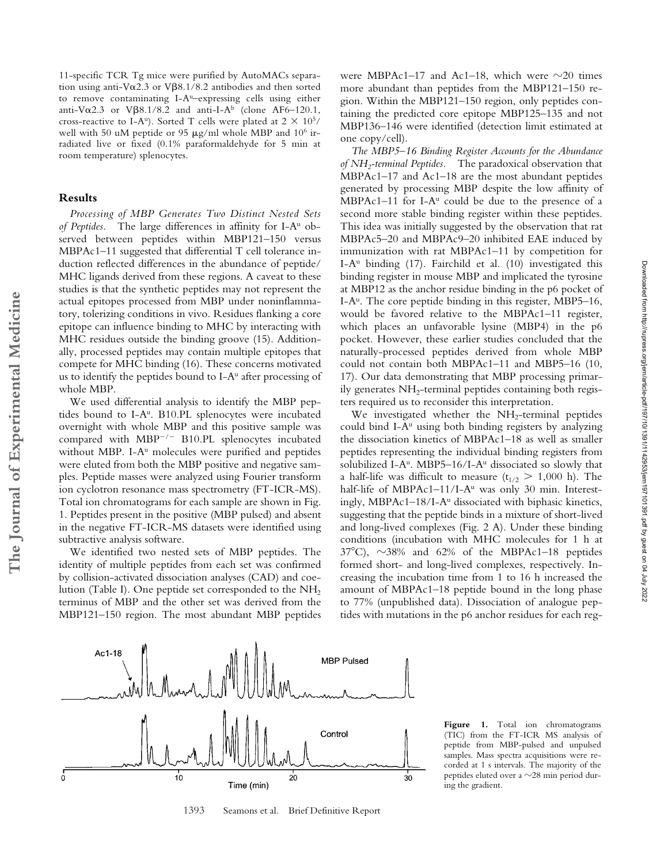11-specific TCR Tg mice were purified by AutoMACs separation using anti-V $\alpha$ 2.3 or V $\beta$ 8.1/8.2 antibodies and then sorted to remove contaminating I-A<sup>u</sup>-expressing cells using either anti-V $\alpha$ 2.3 or V $\beta$ 8.1/8.2 and anti-I-A<sup>b</sup> (clone AF6–120.1, cross-reactive to I-A<sup>u</sup>). Sorted T cells were plated at  $2 \times 10^{5}$ / well with 50 uM peptide or 95  $\mu$ g/ml whole MBP and 10<sup>6</sup> irradiated live or fixed (0.1% paraformaldehyde for 5 min at room temperature) splenocytes.

## **Results**

**The Journal of Experimental Medicine**

The Journal of Experimental Medicine

*Processing of MBP Generates Two Distinct Nested Sets of Peptides.* The large differences in affinity for I-Au observed between peptides within MBP121–150 versus MBPAc1–11 suggested that differential T cell tolerance induction reflected differences in the abundance of peptide/ MHC ligands derived from these regions. A caveat to these studies is that the synthetic peptides may not represent the actual epitopes processed from MBP under noninflammatory, tolerizing conditions in vivo. Residues flanking a core epitope can influence binding to MHC by interacting with MHC residues outside the binding groove (15). Additionally, processed peptides may contain multiple epitopes that compete for MHC binding (16). These concerns motivated us to identify the peptides bound to I-A<sup>u</sup> after processing of whole MBP.

We used differential analysis to identify the MBP peptides bound to I-A<sup>u</sup>. B10.PL splenocytes were incubated overnight with whole MBP and this positive sample was compared with  $MBP^{-/-}$  B10.PL splenocytes incubated without MBP. I-A<sup>u</sup> molecules were purified and peptides were eluted from both the MBP positive and negative samples. Peptide masses were analyzed using Fourier transform ion cyclotron resonance mass spectrometry (FT-ICR-MS). Total ion chromatograms for each sample are shown in Fig. 1. Peptides present in the positive (MBP pulsed) and absent in the negative FT-ICR-MS datasets were identified using subtractive analysis software.

We identified two nested sets of MBP peptides. The identity of multiple peptides from each set was confirmed by collision-activated dissociation analyses (CAD) and coelution (Table I). One peptide set corresponded to the  $NH<sub>2</sub>$ terminus of MBP and the other set was derived from the MBP121–150 region. The most abundant MBP peptides

were MBPAc1-17 and Ac1-18, which were  $\sim$ 20 times more abundant than peptides from the MBP121–150 region. Within the MBP121–150 region, only peptides containing the predicted core epitope MBP125–135 and not MBP136–146 were identified (detection limit estimated at one copy/cell).

*The MBP5–16 Binding Register Accounts for the Abundance of NH2-terminal Peptides.* The paradoxical observation that MBPAc1–17 and Ac1–18 are the most abundant peptides generated by processing MBP despite the low affinity of MBPAc1–11 for I-A $u$  could be due to the presence of a second more stable binding register within these peptides. This idea was initially suggested by the observation that rat MBPAc5–20 and MBPAc9–20 inhibited EAE induced by immunization with rat MBPAc1–11 by competition for I-A<sup>u</sup> binding  $(17)$ . Fairchild et al.  $(10)$  investigated this binding register in mouse MBP and implicated the tyrosine at MBP12 as the anchor residue binding in the p6 pocket of I-A<sup>u</sup>. The core peptide binding in this register, MBP5–16, would be favored relative to the MBPAc1–11 register, which places an unfavorable lysine (MBP4) in the p6 pocket. However, these earlier studies concluded that the naturally-processed peptides derived from whole MBP could not contain both MBPAc1–11 and MBP5–16 (10, 17). Our data demonstrating that MBP processing primarily generates  $NH<sub>2</sub>$ -terminal peptides containing both registers required us to reconsider this interpretation.

We investigated whether the  $NH<sub>2</sub>$ -terminal peptides could bind I- $A<sup>u</sup>$  using both binding registers by analyzing the dissociation kinetics of MBPAc1–18 as well as smaller peptides representing the individual binding registers from solubilized I-A<sup>u</sup>. MBP5–16/I-A<sup>u</sup> dissociated so slowly that a half-life was difficult to measure  $(t_{1/2} > 1,000)$  h). The half-life of MBPAc1-11/I-A<sup>u</sup> was only 30 min. Interestingly, MBPAc1-18/I-A<sup>u</sup> dissociated with biphasic kinetics, suggesting that the peptide binds in a mixture of short-lived and long-lived complexes (Fig. 2 A). Under these binding conditions (incubation with MHC molecules for 1 h at  $37^{\circ}$ C),  $\sim$ 38% and 62% of the MBPAc1-18 peptides formed short- and long-lived complexes, respectively. Increasing the incubation time from 1 to 16 h increased the amount of MBPAc1–18 peptide bound in the long phase to 77% (unpublished data). Dissociation of analogue peptides with mutations in the p6 anchor residues for each reg-



1393 Seamons et al. Brief Definitive Report

Figure 1. Total ion chromatograms (TIC) from the FT-ICR MS analysis of peptide from MBP-pulsed and unpulsed samples. Mass spectra acquisitions were recorded at 1 s intervals. The majority of the peptides eluted over a  $\sim$ 28 min period during the gradient.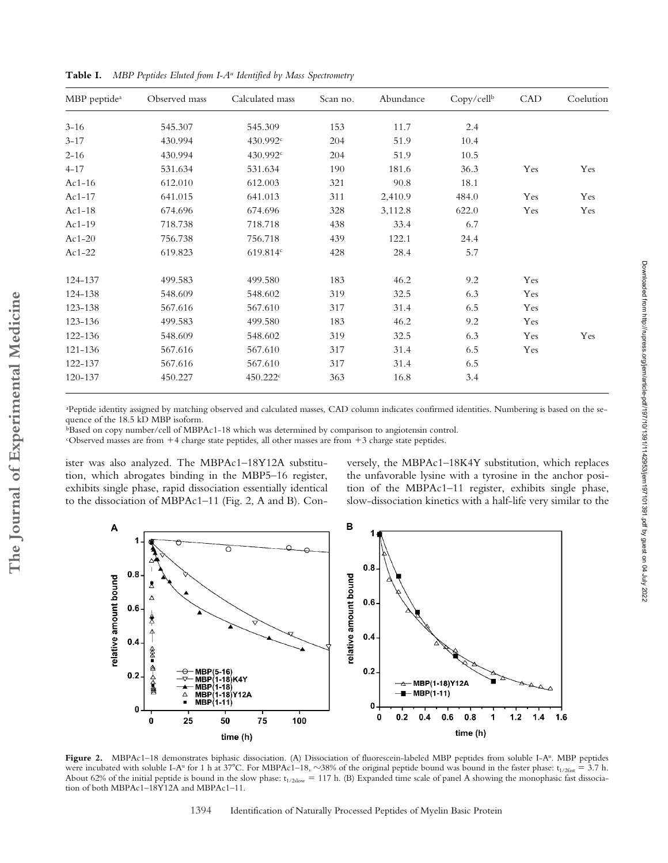| MBP peptide <sup>a</sup> | Observed mass | Calculated mass      | Scan no. | Abundance | Copy/cellb | CAD | Coelution |
|--------------------------|---------------|----------------------|----------|-----------|------------|-----|-----------|
| $3 - 16$                 | 545.307       | 545.309              | 153      | 11.7      | 2.4        |     |           |
| $3 - 17$                 | 430.994       | 430.992c             | 204      | 51.9      | 10.4       |     |           |
| $2 - 16$                 | 430.994       | 430.992c             | 204      | 51.9      | 10.5       |     |           |
| $4 - 17$                 | 531.634       | 531.634              | 190      | 181.6     | 36.3       | Yes | Yes       |
| $Ac1-16$                 | 612.010       | 612.003              | 321      | 90.8      | 18.1       |     |           |
| Ac1-17                   | 641.015       | 641.013              | 311      | 2,410.9   | 484.0      | Yes | Yes       |
| $Ac1-18$                 | 674.696       | 674.696              | 328      | 3,112.8   | 622.0      | Yes | Yes       |
| Ac1-19                   | 718.738       | 718.718              | 438      | 33.4      | 6.7        |     |           |
| $Ac1-20$                 | 756.738       | 756.718              | 439      | 122.1     | 24.4       |     |           |
| $Ac1-22$                 | 619.823       | 619.814c             | 428      | 28.4      | 5.7        |     |           |
| 124-137                  | 499.583       | 499.580              | 183      | 46.2      | 9.2        | Yes |           |
| 124-138                  | 548.609       | 548.602              | 319      | 32.5      | 6.3        | Yes |           |
| 123-138                  | 567.616       | 567.610              | 317      | 31.4      | 6.5        | Yes |           |
| 123-136                  | 499.583       | 499.580              | 183      | 46.2      | 9.2        | Yes |           |
| 122-136                  | 548.609       | 548.602              | 319      | 32.5      | 6.3        | Yes | Yes       |
| 121-136                  | 567.616       | 567.610              | 317      | 31.4      | 6.5        | Yes |           |
| 122-137                  | 567.616       | 567.610              | 317      | 31.4      | 6.5        |     |           |
| 120-137                  | 450.227       | 450.222 <sup>c</sup> | 363      | 16.8      | 3.4        |     |           |

**Table I.** *MBP Peptides Eluted from I-Au Identified by Mass Spectrometry*

a Peptide identity assigned by matching observed and calculated masses, CAD column indicates confirmed identities. Numbering is based on the sequence of the 18.5 kD MBP isoform.

 $\overline{b}$ Based on copy number/cell of MBPAc1-18 which was determined by comparison to angiotensin control.

"Observed masses are from +4 charge state peptides, all other masses are from +3 charge state peptides.

ister was also analyzed. The MBPAc1–18Y12A substitution, which abrogates binding in the MBP5–16 register, exhibits single phase, rapid dissociation essentially identical to the dissociation of MBPAc1–11 (Fig. 2, A and B). Conversely, the MBPAc1–18K4Y substitution, which replaces the unfavorable lysine with a tyrosine in the anchor position of the MBPAc1–11 register, exhibits single phase, slow-dissociation kinetics with a half-life very similar to the



Figure 2. MBPAc1-18 demonstrates biphasic dissociation. (A) Dissociation of fluorescein-labeled MBP peptides from soluble I-A<sup>u</sup>. MBP peptides were incubated with soluble I-A<sup>u</sup> for 1 h at 37°C. For MBPAc1–18,  $\sim$ 38% of the original peptide bound was bound in the faster phase: t<sub>1/2fast</sub> = 3.7 h. About 62% of the initial peptide is bound in the slow phase:  $t_{1/2slow} = 117$  h. (B) Expanded time scale of panel A showing the monophasic fast dissociation of both MBPAc1–18Y12A and MBPAc1–11.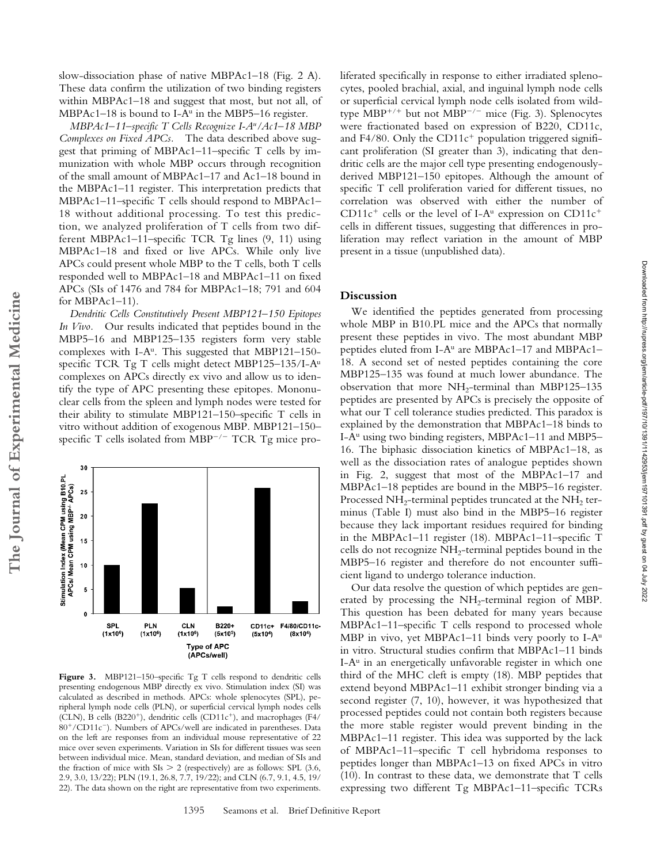slow-dissociation phase of native MBPAc1–18 (Fig. 2 A). These data confirm the utilization of two binding registers within MBPAc1–18 and suggest that most, but not all, of MBPAc1–18 is bound to I-A<sup>u</sup> in the MBP5–16 register.

*MBPAc1–11–specific T Cells Recognize I-Au/Ac1–18 MBP Complexes on Fixed APCs.* The data described above suggest that priming of MBPAc1–11–specific T cells by immunization with whole MBP occurs through recognition of the small amount of MBPAc1–17 and Ac1–18 bound in the MBPAc1–11 register. This interpretation predicts that MBPAc1–11–specific T cells should respond to MBPAc1– 18 without additional processing. To test this prediction, we analyzed proliferation of T cells from two different MBPAc1–11–specific TCR Tg lines (9, 11) using MBPAc1–18 and fixed or live APCs. While only live APCs could present whole MBP to the T cells, both T cells responded well to MBPAc1–18 and MBPAc1–11 on fixed APCs (SIs of 1476 and 784 for MBPAc1–18; 791 and 604 for MBPAc1-11).

*Dendritic Cells Constitutively Present MBP121–150 Epitopes In Vivo.* Our results indicated that peptides bound in the MBP5–16 and MBP125–135 registers form very stable complexes with I-A<sup>u</sup>. This suggested that MBP121-150specific TCR Tg T cells might detect MBP125–135/I-Au complexes on APCs directly ex vivo and allow us to identify the type of APC presenting these epitopes. Mononuclear cells from the spleen and lymph nodes were tested for their ability to stimulate MBP121–150–specific T cells in vitro without addition of exogenous MBP. MBP121–150– specific T cells isolated from MBP<sup>-/-</sup> TCR Tg mice pro-



Figure 3. MBP121-150-specific Tg T cells respond to dendritic cells presenting endogenous MBP directly ex vivo. Stimulation index (SI) was calculated as described in methods. APCs: whole splenocytes (SPL), peripheral lymph node cells (PLN), or superficial cervical lymph nodes cells (CLN), B cells (B220<sup>+</sup>), dendritic cells (CD11c<sup>+</sup>), and macrophages (F4/ 80<sup>+</sup>/CD11c<sup>-</sup>). Numbers of APCs/well are indicated in parentheses. Data on the left are responses from an individual mouse representative of 22 mice over seven experiments. Variation in SIs for different tissues was seen between individual mice. Mean, standard deviation, and median of SIs and the fraction of mice with  $SIs > 2$  (respectively) are as follows: SPL (3.6, 2.9, 3.0, 13/22); PLN (19.1, 26.8, 7.7, 19/22); and CLN (6.7, 9.1, 4.5, 19/ 22). The data shown on the right are representative from two experiments.

liferated specifically in response to either irradiated splenocytes, pooled brachial, axial, and inguinal lymph node cells or superficial cervical lymph node cells isolated from wildtype MBP<sup>+/+</sup> but not MBP<sup>-/-</sup> mice (Fig. 3). Splenocytes were fractionated based on expression of B220, CD11c, and F4/80. Only the CD11 $c^{+}$  population triggered significant proliferation (SI greater than 3), indicating that dendritic cells are the major cell type presenting endogenouslyderived MBP121–150 epitopes. Although the amount of specific T cell proliferation varied for different tissues, no correlation was observed with either the number of  $CD11c<sup>+</sup>$  cells or the level of I-A<sup>u</sup> expression on CD11c<sup>+</sup> cells in different tissues, suggesting that differences in proliferation may reflect variation in the amount of MBP present in a tissue (unpublished data).

#### **Discussion**

We identified the peptides generated from processing whole MBP in B10.PL mice and the APCs that normally present these peptides in vivo. The most abundant MBP peptides eluted from I-Au are MBPAc1–17 and MBPAc1– 18. A second set of nested peptides containing the core MBP125–135 was found at much lower abundance. The observation that more  $NH_2$ -terminal than MBP125–135 peptides are presented by APCs is precisely the opposite of what our T cell tolerance studies predicted. This paradox is explained by the demonstration that MBPAc1–18 binds to I-Au using two binding registers, MBPAc1–11 and MBP5– 16. The biphasic dissociation kinetics of MBPAc1–18, as well as the dissociation rates of analogue peptides shown in Fig. 2, suggest that most of the MBPAc1–17 and MBPAc1–18 peptides are bound in the MBP5–16 register. Processed  $NH_2$ -terminal peptides truncated at the  $NH_2$  terminus (Table I) must also bind in the MBP5–16 register because they lack important residues required for binding in the MBPAc1–11 register (18). MBPAc1–11–specific T cells do not recognize NH<sub>2</sub>-terminal peptides bound in the MBP5–16 register and therefore do not encounter sufficient ligand to undergo tolerance induction.

Our data resolve the question of which peptides are generated by processing the  $NH<sub>2</sub>$ -terminal region of MBP. This question has been debated for many years because MBPAc1–11–specific T cells respond to processed whole MBP in vivo, yet MBPAc1-11 binds very poorly to I-A<sup>u</sup> in vitro. Structural studies confirm that MBPAc1–11 binds I- $A<sup>u</sup>$  in an energetically unfavorable register in which one third of the MHC cleft is empty (18). MBP peptides that extend beyond MBPAc1–11 exhibit stronger binding via a second register (7, 10), however, it was hypothesized that processed peptides could not contain both registers because the more stable register would prevent binding in the MBPAc1–11 register. This idea was supported by the lack of MBPAc1–11–specific T cell hybridoma responses to peptides longer than MBPAc1–13 on fixed APCs in vitro (10). In contrast to these data, we demonstrate that T cells expressing two different Tg MBPAc1–11–specific TCRs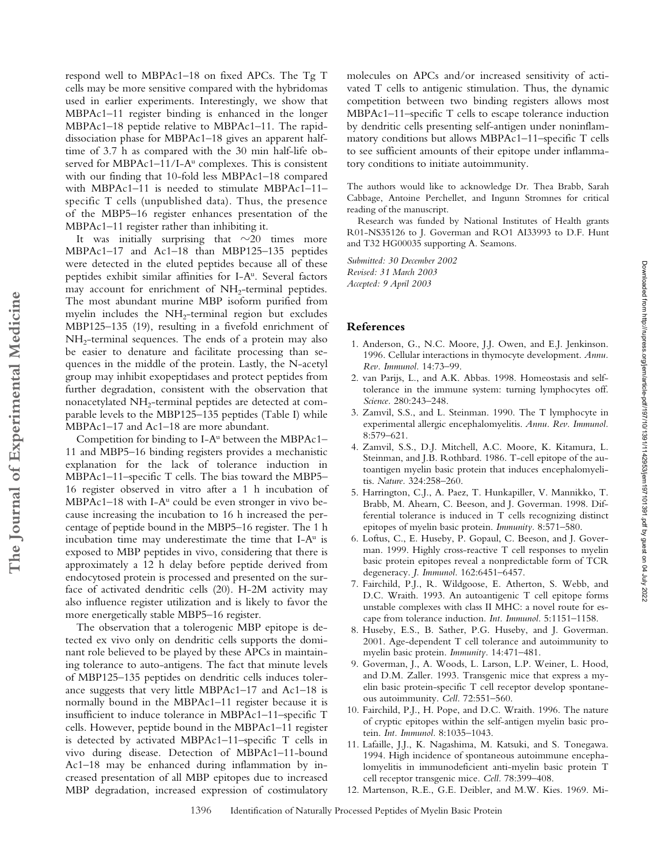respond well to MBPAc1–18 on fixed APCs. The Tg T cells may be more sensitive compared with the hybridomas used in earlier experiments. Interestingly, we show that MBPAc1–11 register binding is enhanced in the longer MBPAc1–18 peptide relative to MBPAc1–11. The rapiddissociation phase for MBPAc1–18 gives an apparent halftime of 3.7 h as compared with the 30 min half-life observed for MBPAc1–11/I-A<sup>u</sup> complexes. This is consistent with our finding that 10-fold less MBPAc1–18 compared with MBPAc1–11 is needed to stimulate MBPAc1–11– specific T cells (unpublished data). Thus, the presence of the MBP5–16 register enhances presentation of the MBPAc1–11 register rather than inhibiting it.

It was initially surprising that  $\sim$ 20 times more MBPAc1–17 and Ac1–18 than MBP125–135 peptides were detected in the eluted peptides because all of these peptides exhibit similar affinities for I-Au. Several factors may account for enrichment of NH<sub>2</sub>-terminal peptides. The most abundant murine MBP isoform purified from myelin includes the  $NH<sub>2</sub>$ -terminal region but excludes MBP125–135 (19), resulting in a fivefold enrichment of  $NH<sub>2</sub>$ -terminal sequences. The ends of a protein may also be easier to denature and facilitate processing than sequences in the middle of the protein. Lastly, the N-acetyl group may inhibit exopeptidases and protect peptides from further degradation, consistent with the observation that nonacetylated NH2-terminal peptides are detected at comparable levels to the MBP125–135 peptides (Table I) while MBPAc1–17 and Ac1–18 are more abundant.

Competition for binding to  $I-A^u$  between the MBPAc1– 11 and MBP5–16 binding registers provides a mechanistic explanation for the lack of tolerance induction in MBPAc1–11–specific T cells. The bias toward the MBP5– 16 register observed in vitro after a 1 h incubation of MBPAc1–18 with I- $A^u$  could be even stronger in vivo because increasing the incubation to 16 h increased the percentage of peptide bound in the MBP5–16 register. The 1 h incubation time may underestimate the time that  $I-A^u$  is exposed to MBP peptides in vivo, considering that there is approximately a 12 h delay before peptide derived from endocytosed protein is processed and presented on the surface of activated dendritic cells (20). H-2M activity may also influence register utilization and is likely to favor the more energetically stable MBP5–16 register.

The observation that a tolerogenic MBP epitope is detected ex vivo only on dendritic cells supports the dominant role believed to be played by these APCs in maintaining tolerance to auto-antigens. The fact that minute levels of MBP125–135 peptides on dendritic cells induces tolerance suggests that very little MBPAc1–17 and Ac1–18 is normally bound in the MBPAc1–11 register because it is insufficient to induce tolerance in MBPAc1–11–specific T cells. However, peptide bound in the MBPAc1–11 register is detected by activated MBPAc1–11–specific T cells in vivo during disease. Detection of MBPAc1–11-bound Ac1–18 may be enhanced during inflammation by increased presentation of all MBP epitopes due to increased MBP degradation, increased expression of costimulatory

molecules on APCs and/or increased sensitivity of activated T cells to antigenic stimulation. Thus, the dynamic competition between two binding registers allows most MBPAc1–11–specific T cells to escape tolerance induction by dendritic cells presenting self-antigen under noninflammatory conditions but allows MBPAc1–11–specific T cells to see sufficient amounts of their epitope under inflammatory conditions to initiate autoimmunity.

The authors would like to acknowledge Dr. Thea Brabb, Sarah Cabbage, Antoine Perchellet, and Ingunn Stromnes for critical reading of the manuscript.

Research was funded by National Institutes of Health grants R01-NS35126 to J. Goverman and RO1 AI33993 to D.F. Hunt and T32 HG00035 supporting A. Seamons.

*Submitted: 30 December 2002 Revised: 31 March 2003 Accepted: 9 April 2003*

#### **References**

- 1. Anderson, G., N.C. Moore, J.J. Owen, and E.J. Jenkinson. 1996. Cellular interactions in thymocyte development. *Annu. Rev. Immunol.* 14:73–99.
- 2. van Parijs, L., and A.K. Abbas. 1998. Homeostasis and selftolerance in the immune system: turning lymphocytes off. *Science.* 280:243–248.
- 3. Zamvil, S.S., and L. Steinman. 1990. The T lymphocyte in experimental allergic encephalomyelitis. *Annu. Rev. Immunol.* 8:579–621.

Downloaded from http://rupress.org/jem/article-pdf/197/10/1391/1142963/jem197101391.pdf by guest on 04 July 2022 Downloaded from http://rupress.org/jem/article-pdf/197/10/1391/1142953/jem197101391.pdf by guest on 04 July 2022

- 4. Zamvil, S.S., D.J. Mitchell, A.C. Moore, K. Kitamura, L. Steinman, and J.B. Rothbard. 1986. T-cell epitope of the autoantigen myelin basic protein that induces encephalomyelitis. *Nature.* 324:258–260.
- 5. Harrington, C.J., A. Paez, T. Hunkapiller, V. Mannikko, T. Brabb, M. Ahearn, C. Beeson, and J. Goverman. 1998. Differential tolerance is induced in T cells recognizing distinct epitopes of myelin basic protein. *Immunity.* 8:571–580.
- 6. Loftus, C., E. Huseby, P. Gopaul, C. Beeson, and J. Goverman. 1999. Highly cross-reactive T cell responses to myelin basic protein epitopes reveal a nonpredictable form of TCR degeneracy. *J. Immunol.* 162:6451–6457.
- 7. Fairchild, P.J., R. Wildgoose, E. Atherton, S. Webb, and D.C. Wraith. 1993. An autoantigenic T cell epitope forms unstable complexes with class II MHC: a novel route for escape from tolerance induction. *Int. Immunol.* 5:1151–1158.
- 8. Huseby, E.S., B. Sather, P.G. Huseby, and J. Goverman. 2001. Age-dependent T cell tolerance and autoimmunity to myelin basic protein. *Immunity.* 14:471–481.
- 9. Goverman, J., A. Woods, L. Larson, L.P. Weiner, L. Hood, and D.M. Zaller. 1993. Transgenic mice that express a myelin basic protein-specific T cell receptor develop spontaneous autoimmunity. *Cell.* 72:551–560.
- 10. Fairchild, P.J., H. Pope, and D.C. Wraith. 1996. The nature of cryptic epitopes within the self-antigen myelin basic protein. *Int. Immunol.* 8:1035–1043.
- 11. Lafaille, J.J., K. Nagashima, M. Katsuki, and S. Tonegawa. 1994. High incidence of spontaneous autoimmune encephalomyelitis in immunodeficient anti-myelin basic protein T cell receptor transgenic mice. *Cell.* 78:399–408.
- 12. Martenson, R.E., G.E. Deibler, and M.W. Kies. 1969. Mi-